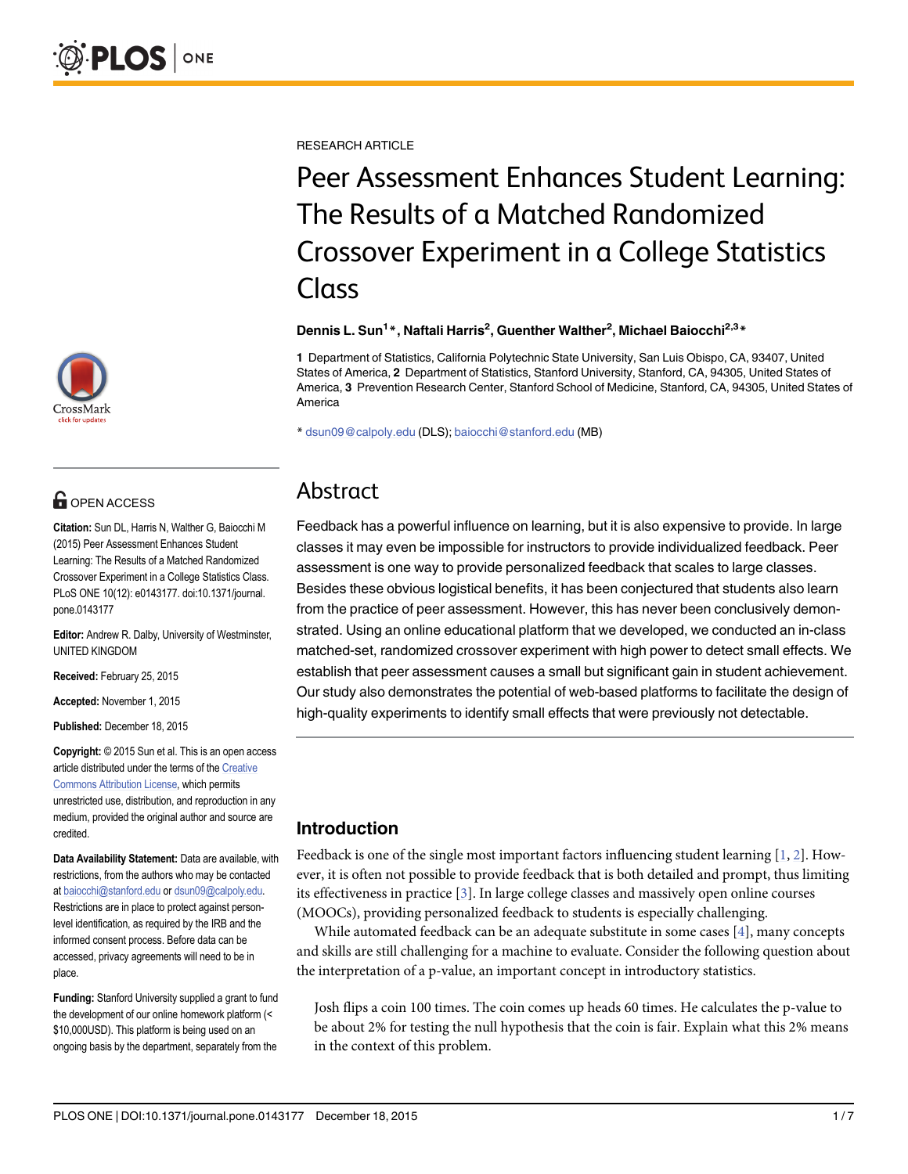

## **G** OPEN ACCESS

Citation: Sun DL, Harris N, Walther G, Baiocchi M (2015) Peer Assessment Enhances Student Learning: The Results of a Matched Randomized Crossover Experiment in a College Statistics Class. PLoS ONE 10(12): e0143177. doi:10.1371/journal. pone.0143177

Editor: Andrew R. Dalby, University of Westminster, UNITED KINGDOM

Received: February 25, 2015

Accepted: November 1, 2015

Published: December 18, 2015

Copyright: © 2015 Sun et al. This is an open access article distributed under the terms of the [Creative](http://creativecommons.org/licenses/by/4.0/) [Commons Attribution License](http://creativecommons.org/licenses/by/4.0/), which permits unrestricted use, distribution, and reproduction in any medium, provided the original author and source are credited.

Data Availability Statement: Data are available, with restrictions, from the authors who may be contacted at baiocchi@stanford.edu or dsun09@calpoly.edu. Restrictions are in place to protect against personlevel identification, as required by the IRB and the informed consent process. Before data can be accessed, privacy agreements will need to be in place.

Funding: Stanford University supplied a grant to fund the development of our online homework platform (< \$10,000USD). This platform is being used on an ongoing basis by the department, separately from the <span id="page-0-0"></span>RESEARCH ARTICLE

# Peer Assessment Enhances Student Learning: The Results of a Matched Randomized Crossover Experiment in a College Statistics **Class**

#### Dennis L. Sun<sup>1</sup>\*, Naftali Harris<sup>2</sup>, Guenther Walther<sup>2</sup>, Michael Baiocchi<sup>2,3</sup>\*

1 Department of Statistics, California Polytechnic State University, San Luis Obispo, CA, 93407, United States of America, 2 Department of Statistics, Stanford University, Stanford, CA, 94305, United States of America, 3 Prevention Research Center, Stanford School of Medicine, Stanford, CA, 94305, United States of America

\* dsun09@calpoly.edu (DLS); baiocchi@stanford.edu (MB)

## Abstract

Feedback has a powerful influence on learning, but it is also expensive to provide. In large classes it may even be impossible for instructors to provide individualized feedback. Peer assessment is one way to provide personalized feedback that scales to large classes. Besides these obvious logistical benefits, it has been conjectured that students also learn from the practice of peer assessment. However, this has never been conclusively demonstrated. Using an online educational platform that we developed, we conducted an in-class matched-set, randomized crossover experiment with high power to detect small effects. We establish that peer assessment causes a small but significant gain in student achievement. Our study also demonstrates the potential of web-based platforms to facilitate the design of high-quality experiments to identify small effects that were previously not detectable.

### Introduction

Feedback is one of the single most important factors influencing student learning  $[1, 2]$  $[1, 2]$  $[1, 2]$  $[1, 2]$ . However, it is often not possible to provide feedback that is both detailed and prompt, thus limiting its effectiveness in practice [[3](#page-5-0)]. In large college classes and massively open online courses (MOOCs), providing personalized feedback to students is especially challenging.

While automated feedback can be an adequate substitute in some cases  $[4]$  $[4]$  $[4]$ , many concepts and skills are still challenging for a machine to evaluate. Consider the following question about the interpretation of a p-value, an important concept in introductory statistics.

Josh flips a coin 100 times. The coin comes up heads 60 times. He calculates the p-value to be about 2% for testing the null hypothesis that the coin is fair. Explain what this 2% means in the context of this problem.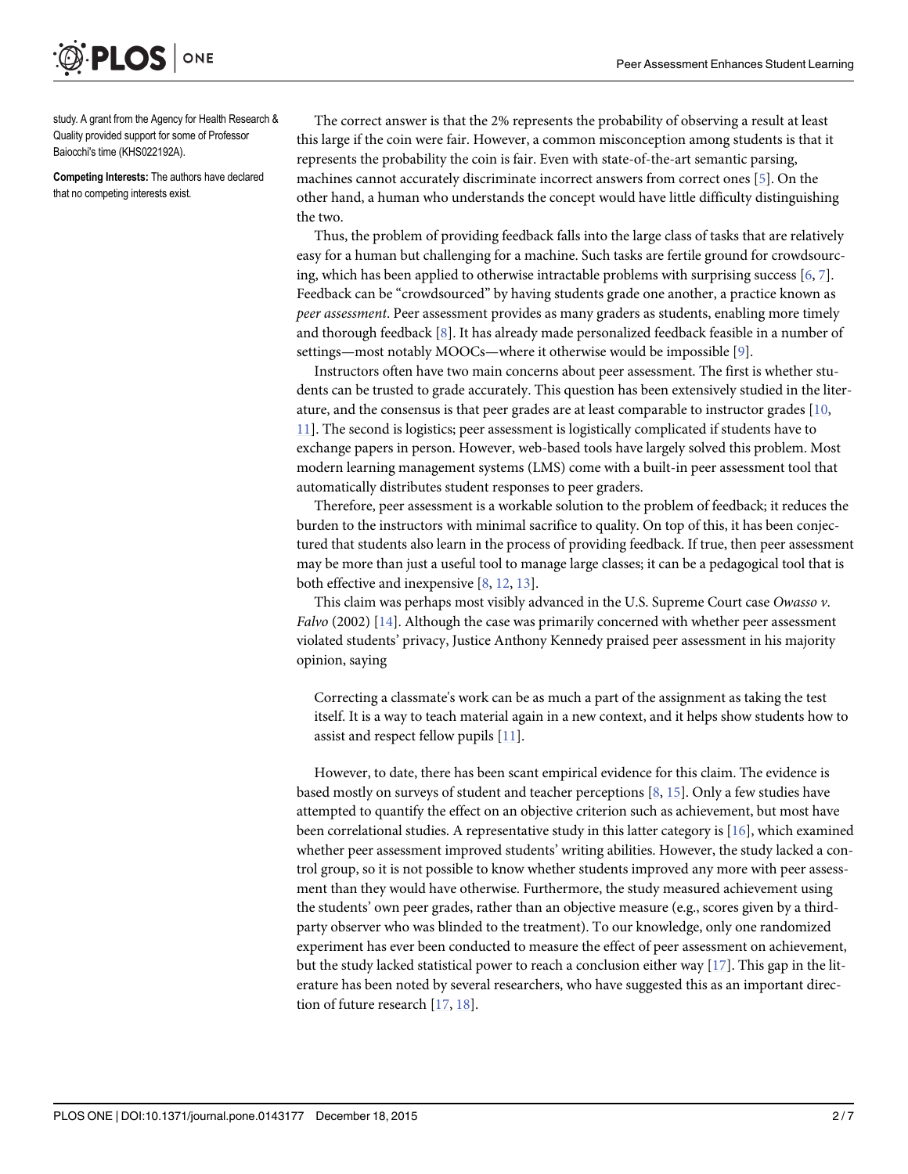<span id="page-1-0"></span>

study. A grant from the Agency for Health Research & Quality provided support for some of Professor Baiocchi's time (KHS022192A).

Competing Interests: The authors have declared that no competing interests exist.

The correct answer is that the 2% represents the probability of observing a result at least this large if the coin were fair. However, a common misconception among students is that it represents the probability the coin is fair. Even with state-of-the-art semantic parsing, machines cannot accurately discriminate incorrect answers from correct ones [[5\]](#page-5-0). On the other hand, a human who understands the concept would have little difficulty distinguishing the two.

Thus, the problem of providing feedback falls into the large class of tasks that are relatively easy for a human but challenging for a machine. Such tasks are fertile ground for crowdsourcing, which has been applied to otherwise intractable problems with surprising success  $[6, 7]$  $[6, 7]$  $[6, 7]$  $[6, 7]$ . Feedback can be "crowdsourced" by having students grade one another, a practice known as peer assessment. Peer assessment provides as many graders as students, enabling more timely and thorough feedback  $[8]$ . It has already made personalized feedback feasible in a number of settings—most notably MOOCs—where it otherwise would be impossible [[9](#page-5-0)].

Instructors often have two main concerns about peer assessment. The first is whether students can be trusted to grade accurately. This question has been extensively studied in the literature, and the consensus is that peer grades are at least comparable to instructor grades [[10](#page-5-0), [11\]](#page-5-0). The second is logistics; peer assessment is logistically complicated if students have to exchange papers in person. However, web-based tools have largely solved this problem. Most modern learning management systems (LMS) come with a built-in peer assessment tool that automatically distributes student responses to peer graders.

Therefore, peer assessment is a workable solution to the problem of feedback; it reduces the burden to the instructors with minimal sacrifice to quality. On top of this, it has been conjectured that students also learn in the process of providing feedback. If true, then peer assessment may be more than just a useful tool to manage large classes; it can be a pedagogical tool that is both effective and inexpensive [\[8,](#page-5-0) [12,](#page-5-0) [13\]](#page-5-0).

This claim was perhaps most visibly advanced in the U.S. Supreme Court case Owasso v. Falvo (2002) [[14](#page-5-0)]. Although the case was primarily concerned with whether peer assessment violated students' privacy, Justice Anthony Kennedy praised peer assessment in his majority opinion, saying

Correcting a classmate's work can be as much a part of the assignment as taking the test itself. It is a way to teach material again in a new context, and it helps show students how to assist and respect fellow pupils [[11](#page-5-0)].

However, to date, there has been scant empirical evidence for this claim. The evidence is based mostly on surveys of student and teacher perceptions [\[8](#page-5-0), [15](#page-5-0)]. Only a few studies have attempted to quantify the effect on an objective criterion such as achievement, but most have been correlational studies. A representative study in this latter category is  $[16]$  $[16]$  $[16]$ , which examined whether peer assessment improved students' writing abilities. However, the study lacked a control group, so it is not possible to know whether students improved any more with peer assessment than they would have otherwise. Furthermore, the study measured achievement using the students' own peer grades, rather than an objective measure (e.g., scores given by a thirdparty observer who was blinded to the treatment). To our knowledge, only one randomized experiment has ever been conducted to measure the effect of peer assessment on achievement, but the study lacked statistical power to reach a conclusion either way  $[17]$ . This gap in the literature has been noted by several researchers, who have suggested this as an important direction of future research [[17](#page-6-0), [18](#page-6-0)].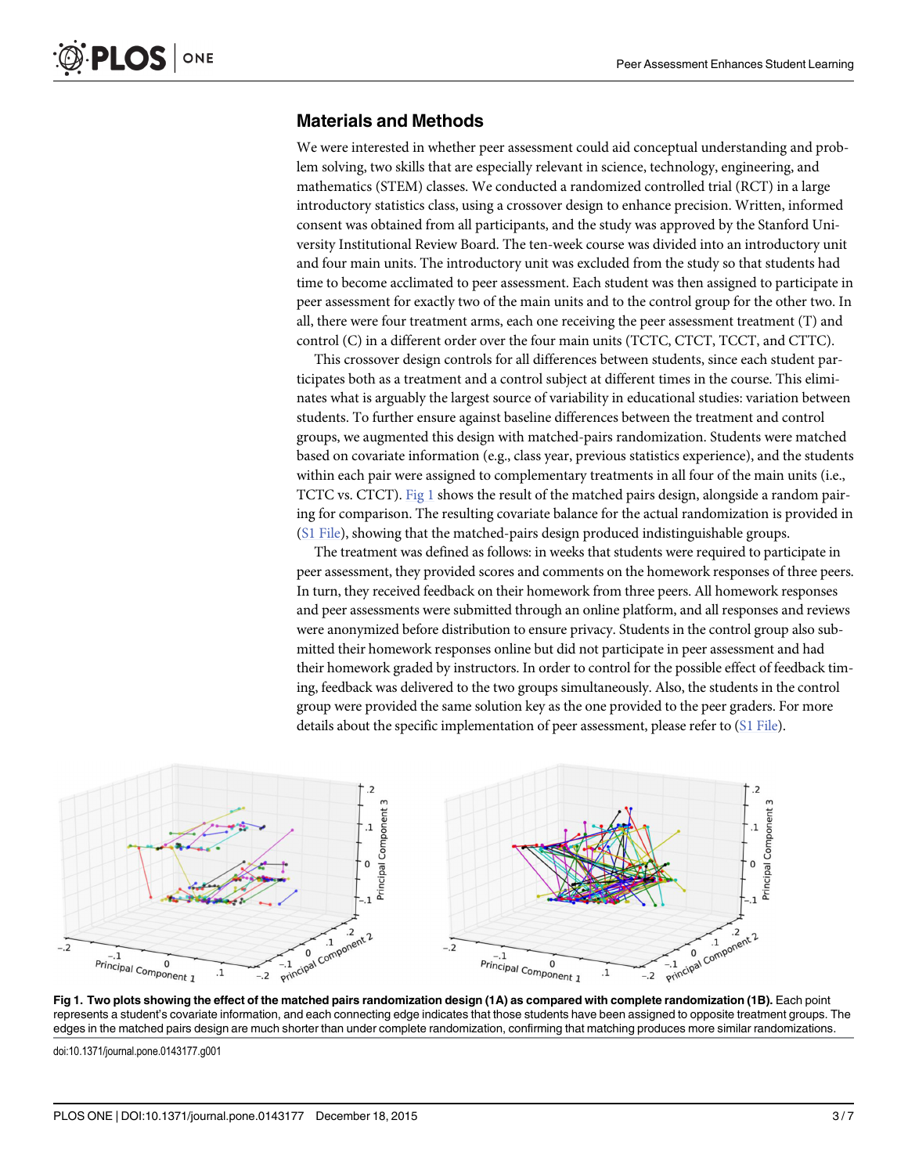#### Materials and Methods

We were interested in whether peer assessment could aid conceptual understanding and problem solving, two skills that are especially relevant in science, technology, engineering, and mathematics (STEM) classes. We conducted a randomized controlled trial (RCT) in a large introductory statistics class, using a crossover design to enhance precision. Written, informed consent was obtained from all participants, and the study was approved by the Stanford University Institutional Review Board. The ten-week course was divided into an introductory unit and four main units. The introductory unit was excluded from the study so that students had time to become acclimated to peer assessment. Each student was then assigned to participate in peer assessment for exactly two of the main units and to the control group for the other two. In all, there were four treatment arms, each one receiving the peer assessment treatment (T) and control (C) in a different order over the four main units (TCTC, CTCT, TCCT, and CTTC).

This crossover design controls for all differences between students, since each student participates both as a treatment and a control subject at different times in the course. This eliminates what is arguably the largest source of variability in educational studies: variation between students. To further ensure against baseline differences between the treatment and control groups, we augmented this design with matched-pairs randomization. Students were matched based on covariate information (e.g., class year, previous statistics experience), and the students within each pair were assigned to complementary treatments in all four of the main units (i.e., TCTC vs. CTCT). Fig 1 shows the result of the matched pairs design, alongside a random pairing for comparison. The resulting covariate balance for the actual randomization is provided in [\(S1 File\)](#page-5-0), showing that the matched-pairs design produced indistinguishable groups.

The treatment was defined as follows: in weeks that students were required to participate in peer assessment, they provided scores and comments on the homework responses of three peers. In turn, they received feedback on their homework from three peers. All homework responses and peer assessments were submitted through an online platform, and all responses and reviews were anonymized before distribution to ensure privacy. Students in the control group also submitted their homework responses online but did not participate in peer assessment and had their homework graded by instructors. In order to control for the possible effect of feedback timing, feedback was delivered to the two groups simultaneously. Also, the students in the control group were provided the same solution key as the one provided to the peer graders. For more details about the specific implementation of peer assessment, please refer to ([S1 File\)](#page-5-0).



Fig 1. Two plots showing the effect of the matched pairs randomization design (1A) as compared with complete randomization (1B). Each point represents a student's covariate information, and each connecting edge indicates that those students have been assigned to opposite treatment groups. The edges in the matched pairs design are much shorter than under complete randomization, confirming that matching produces more similar randomizations.

doi:10.1371/journal.pone.0143177.g001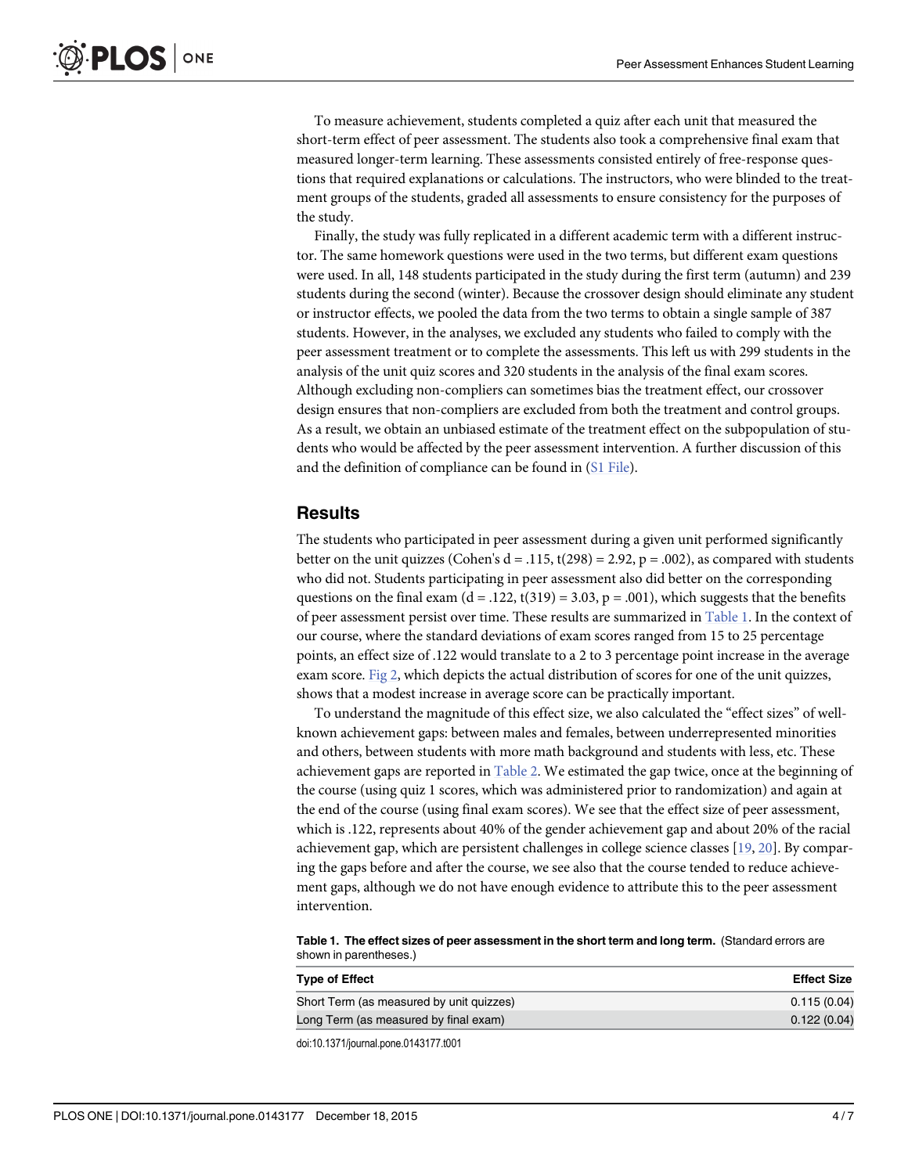<span id="page-3-0"></span>To measure achievement, students completed a quiz after each unit that measured the short-term effect of peer assessment. The students also took a comprehensive final exam that measured longer-term learning. These assessments consisted entirely of free-response questions that required explanations or calculations. The instructors, who were blinded to the treatment groups of the students, graded all assessments to ensure consistency for the purposes of the study.

Finally, the study was fully replicated in a different academic term with a different instructor. The same homework questions were used in the two terms, but different exam questions were used. In all, 148 students participated in the study during the first term (autumn) and 239 students during the second (winter). Because the crossover design should eliminate any student or instructor effects, we pooled the data from the two terms to obtain a single sample of 387 students. However, in the analyses, we excluded any students who failed to comply with the peer assessment treatment or to complete the assessments. This left us with 299 students in the analysis of the unit quiz scores and 320 students in the analysis of the final exam scores. Although excluding non-compliers can sometimes bias the treatment effect, our crossover design ensures that non-compliers are excluded from both the treatment and control groups. As a result, we obtain an unbiased estimate of the treatment effect on the subpopulation of students who would be affected by the peer assessment intervention. A further discussion of this and the definition of compliance can be found in [\(S1 File\)](#page-5-0).

#### **Results**

The students who participated in peer assessment during a given unit performed significantly better on the unit quizzes (Cohen's  $d = .115$ , t(298) = 2.92, p = .002), as compared with students who did not. Students participating in peer assessment also did better on the corresponding questions on the final exam (d = .122, t(319) = 3.03, p = .001), which suggests that the benefits of peer assessment persist over time. These results are summarized in Table 1. In the context of our course, where the standard deviations of exam scores ranged from 15 to 25 percentage points, an effect size of .122 would translate to a 2 to 3 percentage point increase in the average exam score. [Fig 2,](#page-4-0) which depicts the actual distribution of scores for one of the unit quizzes, shows that a modest increase in average score can be practically important.

To understand the magnitude of this effect size, we also calculated the "effect sizes" of wellknown achievement gaps: between males and females, between underrepresented minorities and others, between students with more math background and students with less, etc. These achievement gaps are reported in [Table 2](#page-4-0). We estimated the gap twice, once at the beginning of the course (using quiz 1 scores, which was administered prior to randomization) and again at the end of the course (using final exam scores). We see that the effect size of peer assessment, which is .122, represents about 40% of the gender achievement gap and about 20% of the racial achievement gap, which are persistent challenges in college science classes [\[19](#page-6-0), [20](#page-6-0)]. By comparing the gaps before and after the course, we see also that the course tended to reduce achievement gaps, although we do not have enough evidence to attribute this to the peer assessment intervention.

Table 1. The effect sizes of peer assessment in the short term and long term. (Standard errors are shown in parentheses.)

| <b>Type of Effect</b>                    | <b>Effect Size</b> |
|------------------------------------------|--------------------|
| Short Term (as measured by unit quizzes) | 0.115(0.04)        |
| Long Term (as measured by final exam)    | 0.122(0.04)        |
| doi:10.1371/journal.pone.0143177.t001    |                    |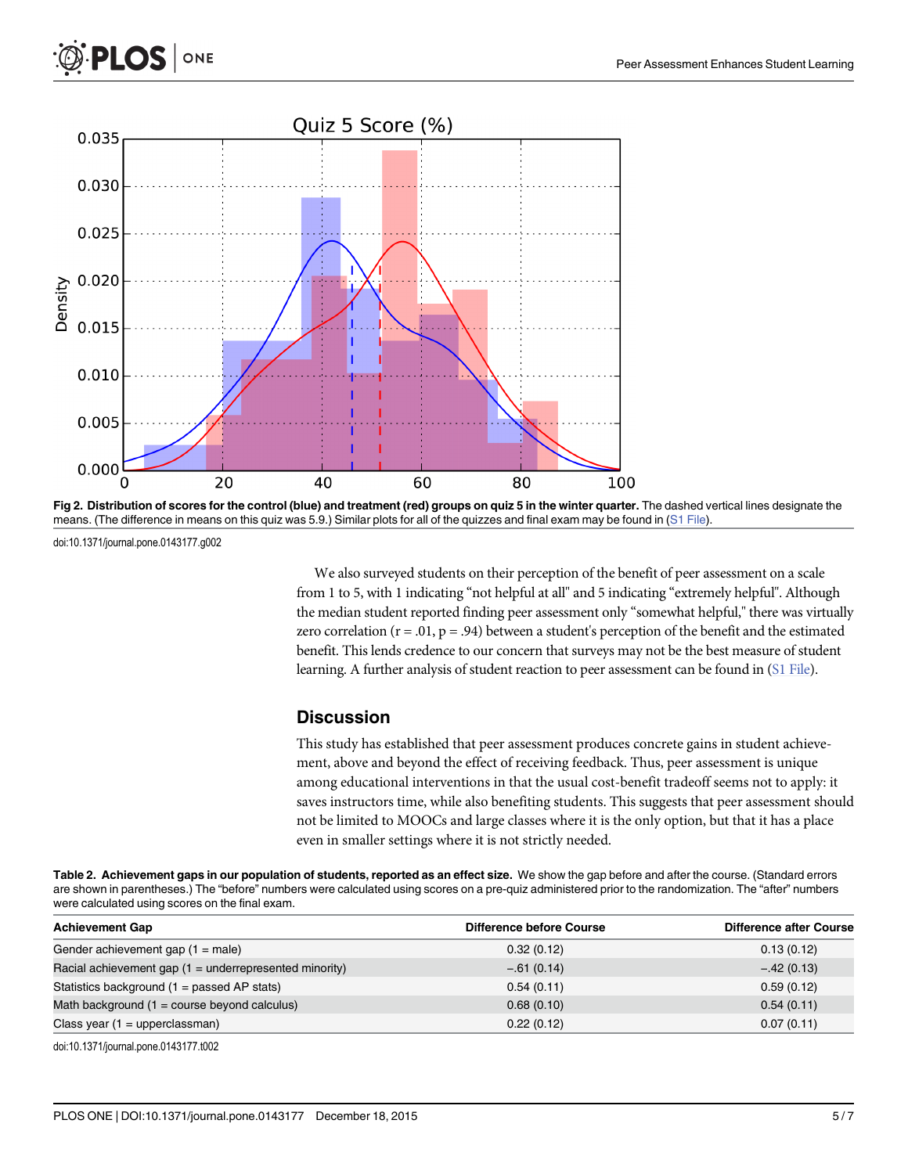<span id="page-4-0"></span>



[Fig 2. D](#page-3-0)istribution of scores for the control (blue) and treatment (red) groups on quiz 5 in the winter quarter. The dashed vertical lines designate the means. (The difference in means on this quiz was 5.9.) Similar plots for all of the quizzes and final exam may be found in ([S1 File](#page-5-0)).

doi:10.1371/journal.pone.0143177.g002

We also surveyed students on their perception of the benefit of peer assessment on a scale from 1 to 5, with 1 indicating "not helpful at all" and 5 indicating "extremely helpful". Although the median student reported finding peer assessment only "somewhat helpful," there was virtually zero correlation  $(r = .01, p = .94)$  between a student's perception of the benefit and the estimated benefit. This lends credence to our concern that surveys may not be the best measure of student learning. A further analysis of student reaction to peer assessment can be found in ([S1 File](#page-5-0)).

#### **Discussion**

This study has established that peer assessment produces concrete gains in student achievement, above and beyond the effect of receiving feedback. Thus, peer assessment is unique among educational interventions in that the usual cost-benefit tradeoff seems not to apply: it saves instructors time, while also benefiting students. This suggests that peer assessment should not be limited to MOOCs and large classes where it is the only option, but that it has a place even in smaller settings where it is not strictly needed.

[Table 2.](#page-3-0) Achievement gaps in our population of students, reported as an effect size. We show the gap before and after the course. (Standard errors are shown in parentheses.) The "before" numbers were calculated using scores on a pre-quiz administered prior to the randomization. The "after" numbers were calculated using scores on the final exam.

| <b>Achievement Gap</b>                                   | Difference before Course | <b>Difference after Course</b> |
|----------------------------------------------------------|--------------------------|--------------------------------|
| Gender achievement gap $(1 = male)$                      | 0.32(0.12)               | 0.13(0.12)                     |
| Racial achievement gap $(1 =$ underrepresented minority) | $-.61(0.14)$             | $-.42(0.13)$                   |
| Statistics background $(1 =$ passed AP stats)            | 0.54(0.11)               | 0.59(0.12)                     |
| Math background $(1 = \text{course beyond calculus})$    | 0.68(0.10)               | 0.54(0.11)                     |
| Class year $(1 =$ upperclassman)                         | 0.22(0.12)               | 0.07(0.11)                     |
| 1.140.40741104404771000                                  |                          |                                |

doi:10.1371/journal.pone.0143177.t002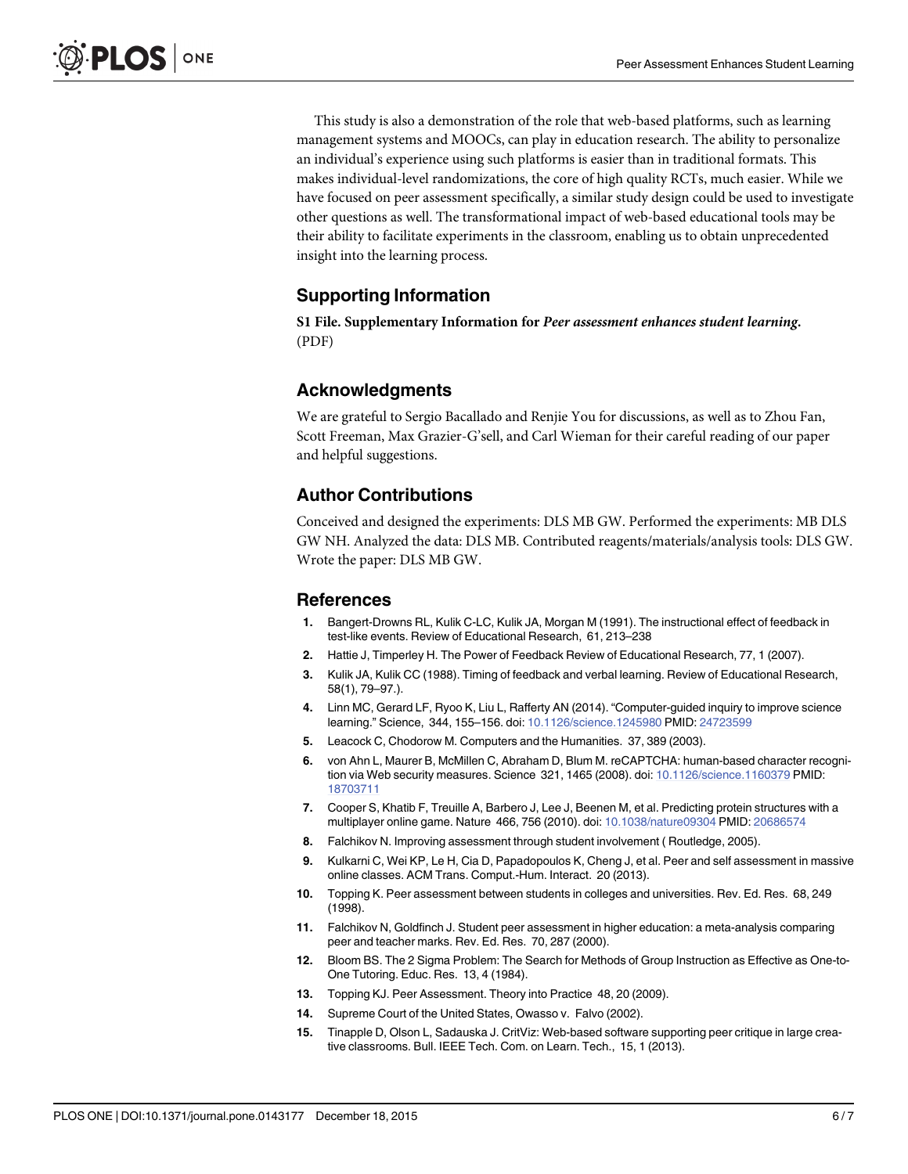<span id="page-5-0"></span>This study is also a demonstration of the role that web-based platforms, such as learning management systems and MOOCs, can play in education research. The ability to personalize an individual's experience using such platforms is easier than in traditional formats. This makes individual-level randomizations, the core of high quality RCTs, much easier. While we have focused on peer assessment specifically, a similar study design could be used to investigate other questions as well. The transformational impact of web-based educational tools may be their ability to facilitate experiments in the classroom, enabling us to obtain unprecedented insight into the learning process.

#### Supporting Information

[S1 File.](http://www.plosone.org/article/fetchSingleRepresentation.action?uri=info:doi/10.1371/journal.pone.0143177.s001) Supplementary Information for Peer assessment enhances student learning. (PDF)

#### Acknowledgments

We are grateful to Sergio Bacallado and Renjie You for discussions, as well as to Zhou Fan, Scott Freeman, Max Grazier-G'sell, and Carl Wieman for their careful reading of our paper and helpful suggestions.

#### Author Contributions

Conceived and designed the experiments: DLS MB GW. Performed the experiments: MB DLS GW NH. Analyzed the data: DLS MB. Contributed reagents/materials/analysis tools: DLS GW. Wrote the paper: DLS MB GW.

#### References

- [1.](#page-0-0) Bangert-Drowns RL, Kulik C-LC, Kulik JA, Morgan M (1991). The instructional effect of feedback in test-like events. Review of Educational Research, 61, 213–238
- [2.](#page-0-0) Hattie J, Timperley H. The Power of Feedback Review of Educational Research, 77, 1 (2007).
- [3.](#page-0-0) Kulik JA, Kulik CC (1988). Timing of feedback and verbal learning. Review of Educational Research, 58(1), 79–97.).
- [4.](#page-0-0) Linn MC, Gerard LF, Ryoo K, Liu L, Rafferty AN (2014). "Computer-guided inquiry to improve science learning." Science, 344, 155–156. doi: [10.1126/science.1245980](http://dx.doi.org/10.1126/science.1245980) PMID: [24723599](http://www.ncbi.nlm.nih.gov/pubmed/24723599)
- [5.](#page-1-0) Leacock C, Chodorow M. Computers and the Humanities. 37, 389 (2003).
- [6.](#page-1-0) von Ahn L, Maurer B, McMillen C, Abraham D, Blum M. reCAPTCHA: human-based character recogni-tion via Web security measures. Science 321, 1465 (2008). doi: [10.1126/science.1160379](http://dx.doi.org/10.1126/science.1160379) PMID: [18703711](http://www.ncbi.nlm.nih.gov/pubmed/18703711)
- [7.](#page-1-0) Cooper S, Khatib F, Treuille A, Barbero J, Lee J, Beenen M, et al. Predicting protein structures with a multiplayer online game. Nature 466, 756 (2010). doi: [10.1038/nature09304](http://dx.doi.org/10.1038/nature09304) PMID: [20686574](http://www.ncbi.nlm.nih.gov/pubmed/20686574)
- [8.](#page-1-0) Falchikov N. Improving assessment through student involvement ( Routledge, 2005).
- [9.](#page-1-0) Kulkarni C, Wei KP, Le H, Cia D, Papadopoulos K, Cheng J, et al. Peer and self assessment in massive online classes. ACM Trans. Comput.-Hum. Interact. 20 (2013).
- [10.](#page-1-0) Topping K. Peer assessment between students in colleges and universities. Rev. Ed. Res. 68, 249 (1998).
- [11.](#page-1-0) Falchikov N, Goldfinch J. Student peer assessment in higher education: a meta-analysis comparing peer and teacher marks. Rev. Ed. Res. 70, 287 (2000).
- [12.](#page-1-0) Bloom BS. The 2 Sigma Problem: The Search for Methods of Group Instruction as Effective as One-to-One Tutoring. Educ. Res. 13, 4 (1984).
- [13.](#page-1-0) Topping KJ. Peer Assessment. Theory into Practice 48, 20 (2009).
- [14.](#page-1-0) Supreme Court of the United States, Owasso v. Falvo (2002).
- [15.](#page-1-0) Tinapple D, Olson L, Sadauska J. CritViz: Web-based software supporting peer critique in large creative classrooms. Bull. IEEE Tech. Com. on Learn. Tech., 15, 1 (2013).